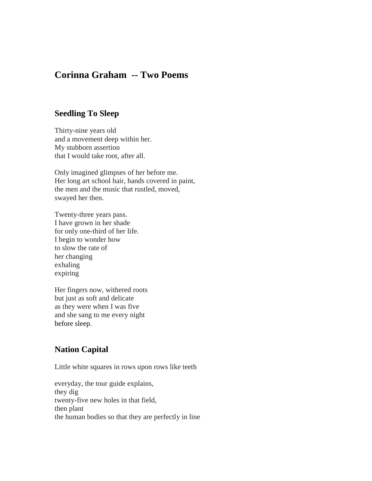## **Corinna Graham -- Two Poems**

## **Seedling To Sleep**

Thirty-nine years old and a movement deep within her. My stubborn assertion that I would take root, after all.

Only imagined glimpses of her before me. Her long art school hair, hands covered in paint, the men and the music that rustled, moved, swayed her then.

Twenty-three years pass. I have grown in her shade for only one-third of her life. I begin to wonder how to slow the rate of her changing exhaling expiring

Her fingers now, withered roots but just as soft and delicate as they were when I was five and she sang to me every night before sleep.

## **Nation Capital**

Little white squares in rows upon rows like teeth

everyday, the tour guide explains, they dig twenty-five new holes in that field, then plant the human bodies so that they are perfectly in line